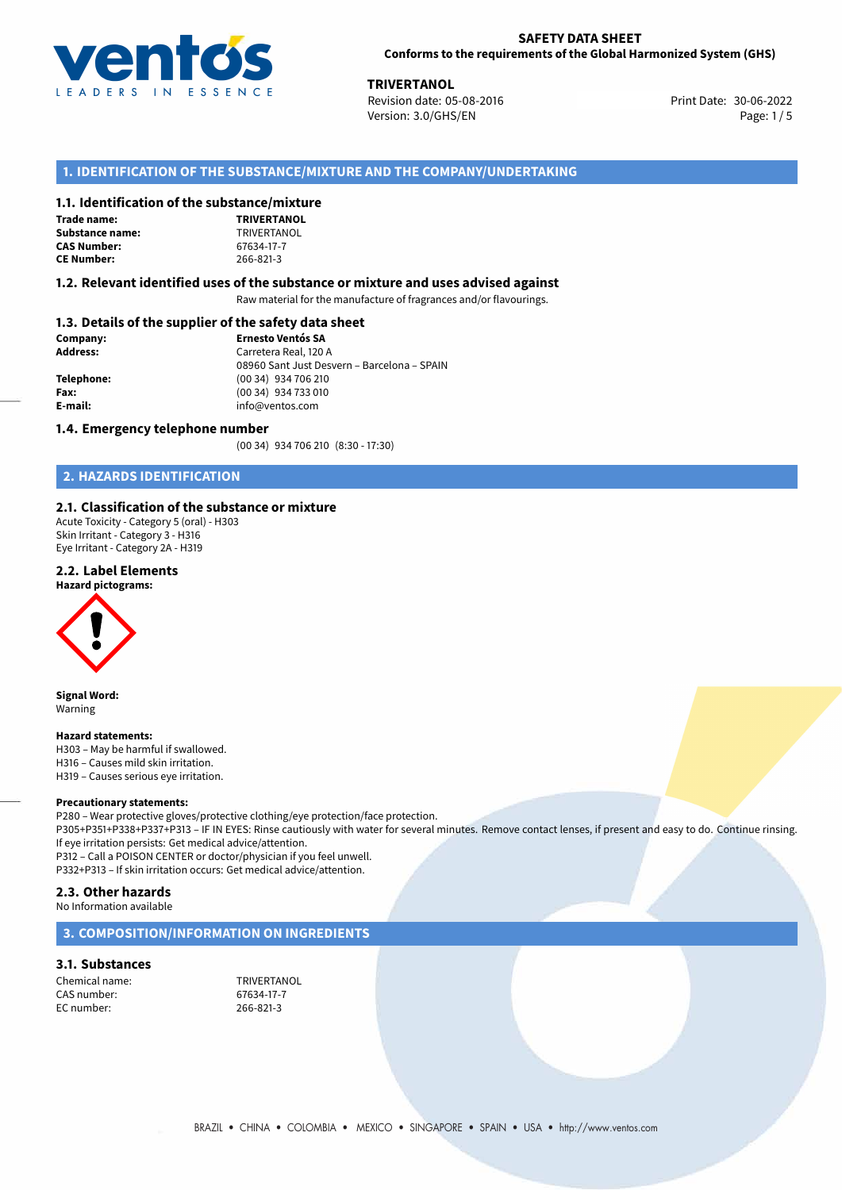

**TRIVERTANOL**<br>30-06-2022 **Revision date: 05-08-2016** Print Date: 30-06-2022 Version: 3.0/GHS/EN Page: 1/5

## **1. IDENTIFICATION OF THE SUBSTANCE/MIXTURE AND THE COMPANY/UNDERTAKING**

## **1.1. Identification of the substance/mixture**

**Trade name: Substance name:** TRIVERTANOL<br> **CAS Number:** 67634-17-7 **CAS Number: CE Number:** 266-821-3



## **1.2. Relevant identified uses of the substance or mixture and uses advised against**

Raw material for the manufacture of fragrances and/or flavourings.

## **1.3. Details of the supplier of the safety data sheet**

| Company:        | <b>Ernesto Ventós SA</b>                    |  |
|-----------------|---------------------------------------------|--|
| <b>Address:</b> | Carretera Real, 120 A                       |  |
|                 | 08960 Sant Just Desvern - Barcelona - SPAIN |  |
| Telephone:      | (00 34) 934 706 210                         |  |
| Fax:            | (00 34) 934 733 010                         |  |
| E-mail:         | info@ventos.com                             |  |
|                 |                                             |  |

## **1.4. Emergency telephone number**

(00 34) 934 706 210 (8:30 - 17:30)

## **2. HAZARDS IDENTIFICATION**

## **2.1. Classification of the substance or mixture**

Acute Toxicity - Category 5 (oral) - H303 Skin Irritant - Category 3 - H316 Eye Irritant - Category 2A - H319

## **2.2. Label Elements**





**Signal Word:** Warning

#### **Hazard statements:**

H303 – May be harmful if swallowed. H316 – Causes mild skin irritation. H319 – Causes serious eye irritation.

#### **Precautionary statements:**

P280 – Wear protective gloves/protective clothing/eye protection/face protection. P305+P351+P338+P337+P313 – IF IN EYES: Rinse cautiously with water for several minutes. Remove contact lenses, if present and easy to do. Continue rinsing. If eye irritation persists: Get medical advice/attention. P312 – Call a POISON CENTER or doctor/physician if you feel unwell. P332+P313 – If skin irritation occurs: Get medical advice/attention.

## **2.3. Other hazards**

No Information available

## **3. COMPOSITION/INFORMATION ON INGREDIENTS**

## **3.1. Substances**

Chemical name: TRIVERTANOL<br>
CAS number: 67634-17-7 CAS number: EC number: 266-821-3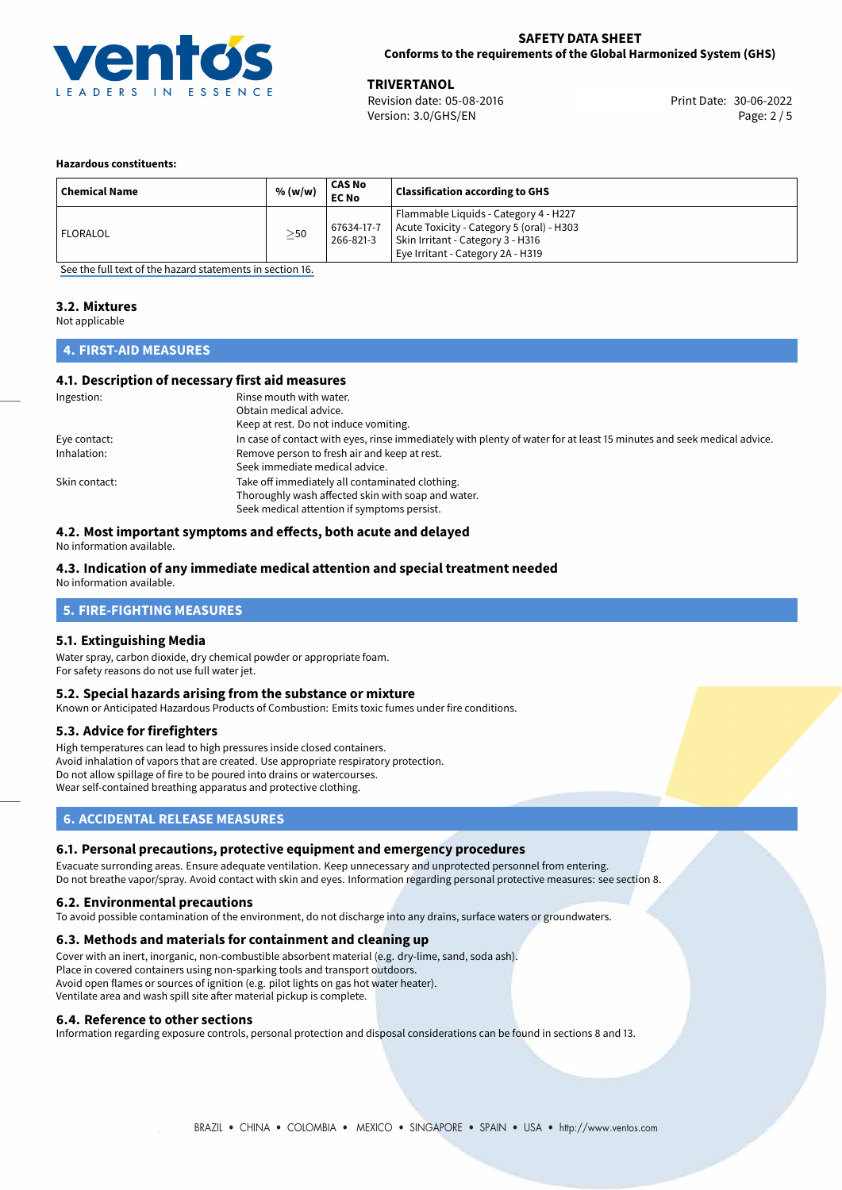

**TRIVERTANOL**<br>
Revision date: 05-08-2016 **Print Date: 30-06-2022** Version: 3.0/GHS/EN Page: 2 / 5

### **Hazardous constituents:**

| <b>Chemical Name</b> | % (w/w)   | CAS No<br><b>EC No</b>  | <b>Classification according to GHS</b>                                                                                                                       |
|----------------------|-----------|-------------------------|--------------------------------------------------------------------------------------------------------------------------------------------------------------|
| <b>FLORALOL</b>      | $\geq$ 50 | 67634-17-7<br>266-821-3 | Flammable Liquids - Category 4 - H227<br>Acute Toxicity - Category 5 (oral) - H303<br>Skin Irritant - Category 3 - H316<br>Eye Irritant - Category 2A - H319 |

[See the full text of the hazard statements in section 16.](#page-4-0)

## **3.2. Mixtures**

Not applicable

## **4. FIRST-AID MEASURES**

## **4.1. Description of necessary first aid measures**

| Ingestion:    | Rinse mouth with water.<br>Obtain medical advice.                                                                                                    |
|---------------|------------------------------------------------------------------------------------------------------------------------------------------------------|
|               | Keep at rest. Do not induce vomiting.                                                                                                                |
| Eye contact:  | In case of contact with eyes, rinse immediately with plenty of water for at least 15 minutes and seek medical advice.                                |
| Inhalation:   | Remove person to fresh air and keep at rest.<br>Seek immediate medical advice.                                                                       |
| Skin contact: | Take off immediately all contaminated clothing.<br>Thoroughly wash affected skin with soap and water.<br>Seek medical attention if symptoms persist. |

## **4.2. Most important symptoms and effects, both acute and delayed**

No information available.

## **4.3. Indication of any immediate medical attention and special treatment needed**

No information available.

## **5. FIRE-FIGHTING MEASURES**

#### **5.1. Extinguishing Media**

Water spray, carbon dioxide, dry chemical powder or appropriate foam. For safety reasons do not use full water jet.

## **5.2. Special hazards arising from the substance or mixture**

Known or Anticipated Hazardous Products of Combustion: Emits toxic fumes under fire conditions.

#### **5.3. Advice for firefighters**

High temperatures can lead to high pressures inside closed containers. Avoid inhalation of vapors that are created. Use appropriate respiratory protection. Do not allow spillage of fire to be poured into drains or watercourses. Wear self-contained breathing apparatus and protective clothing.

## **6. ACCIDENTAL RELEASE MEASURES**

## **6.1. Personal precautions, protective equipment and emergency procedures**

Evacuate surronding areas. Ensure adequate ventilation. Keep unnecessary and unprotected personnel from entering. Do not breathe vapor/spray. Avoid contact with skin and eyes. Information regarding personal protective measures: see section 8.

#### **6.2. Environmental precautions**

To avoid possible contamination of the environment, do not discharge into any drains, surface waters or groundwaters.

## **6.3. Methods and materials for containment and cleaning up**

Cover with an inert, inorganic, non-combustible absorbent material (e.g. dry-lime, sand, soda ash). Place in covered containers using non-sparking tools and transport outdoors. Avoid open flames or sources of ignition (e.g. pilot lights on gas hot water heater). Ventilate area and wash spill site after material pickup is complete.

#### **6.4. Reference to other sections**

Information regarding exposure controls, personal protection and disposal considerations can be found in sections 8 and 13.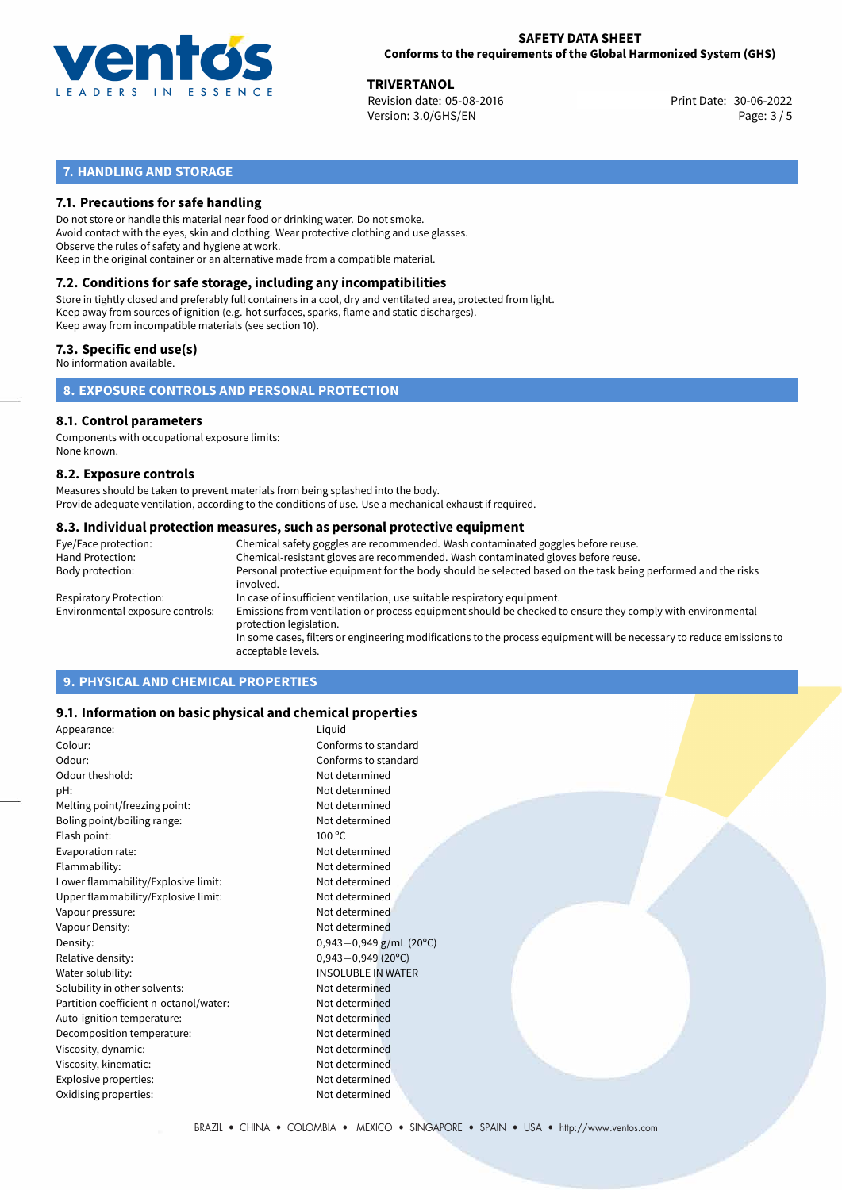

**TRIVERTANOL**<br>
Revision date: 05-08-2016 **Print Date: 30-06-2022** Version: 3.0/GHS/EN Page: 3 / 5

## **7. HANDLING AND STORAGE**

## **7.1. Precautions for safe handling**

Do not store or handle this material near food or drinking water. Do not smoke. Avoid contact with the eyes, skin and clothing. Wear protective clothing and use glasses. Observe the rules of safety and hygiene at work. Keep in the original container or an alternative made from a compatible material.

# **7.2. Conditions for safe storage, including any incompatibilities**

Store in tightly closed and preferably full containers in a cool, dry and ventilated area, protected from light. Keep away from sources of ignition (e.g. hot surfaces, sparks, flame and static discharges). Keep away from incompatible materials (see section 10).

## **7.3. Specific end use(s)**

No information available.

**8. EXPOSURE CONTROLS AND PERSONAL PROTECTION**

## **8.1. Control parameters**

Components with occupational exposure limits: None known.

## **8.2. Exposure controls**

Measures should be taken to prevent materials from being splashed into the body. Provide adequate ventilation, according to the conditions of use. Use a mechanical exhaust if required.

## **8.3. Individual protection measures, such as personal protective equipment**

| Eye/Face protection:             | Chemical safety goggles are recommended. Wash contaminated goggles before reuse.                                                            |
|----------------------------------|---------------------------------------------------------------------------------------------------------------------------------------------|
| Hand Protection:                 | Chemical-resistant gloves are recommended. Wash contaminated gloves before reuse.                                                           |
| Body protection:                 | Personal protective equipment for the body should be selected based on the task being performed and the risks<br>involved.                  |
| Respiratory Protection:          | In case of insufficient ventilation, use suitable respiratory equipment.                                                                    |
| Environmental exposure controls: | Emissions from ventilation or process equipment should be checked to ensure they comply with environmental<br>protection legislation.       |
|                                  | In some cases, filters or engineering modifications to the process equipment will be necessary to reduce emissions to<br>acceptable levels. |
|                                  |                                                                                                                                             |

## **9. PHYSICAL AND CHEMICAL PROPERTIES**

## **9.1. Information on basic physical and chemical properties**

| Appearance:                            | Liquid                      |
|----------------------------------------|-----------------------------|
| Colour:                                | Conforms to standard        |
| Odour:                                 | Conforms to standard        |
| Odour theshold:                        | Not determined              |
| pH:                                    | Not determined              |
| Melting point/freezing point:          | Not determined              |
| Boling point/boiling range:            | Not determined              |
| Flash point:                           | $100^{\circ}$ C             |
| Evaporation rate:                      | Not determined              |
| Flammability:                          | Not determined              |
| Lower flammability/Explosive limit:    | Not determined              |
| Upper flammability/Explosive limit:    | Not determined              |
| Vapour pressure:                       | Not determined              |
| Vapour Density:                        | Not determined              |
| Density:                               | $0,943 - 0,949$ g/mL (20°C) |
| Relative density:                      | $0,943 - 0,949$ (20°C)      |
| Water solubility:                      | <b>INSOLUBLE IN WATER</b>   |
| Solubility in other solvents:          | Not determined              |
| Partition coefficient n-octanol/water: | Not determined              |
| Auto-ignition temperature:             | Not determined              |
| Decomposition temperature:             | Not determined              |
| Viscosity, dynamic:                    | Not determined              |
| Viscosity, kinematic:                  | Not determined              |
| Explosive properties:                  | Not determined              |
| Oxidising properties:                  | Not determined              |
|                                        |                             |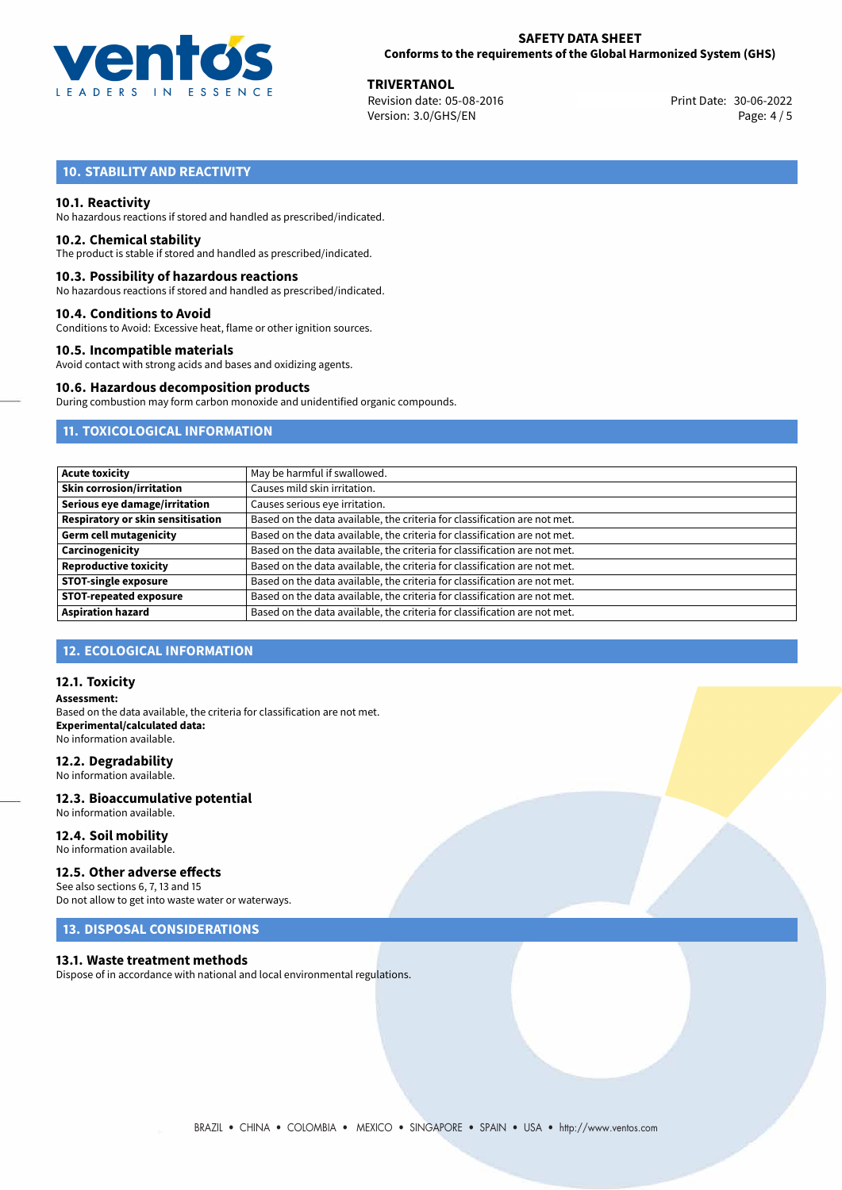

**TRIVERTANOL**<br>
Revision date: 05-08-2016 **Print Date: 30-06-2022** Version: 3.0/GHS/EN Page: 4 / 5

## **10. STABILITY AND REACTIVITY**

## **10.1. Reactivity**

No hazardous reactions if stored and handled as prescribed/indicated.

#### **10.2. Chemical stability**

The product is stable if stored and handled as prescribed/indicated.

### **10.3. Possibility of hazardous reactions**

No hazardous reactions if stored and handled as prescribed/indicated.

#### **10.4. Conditions to Avoid**

Conditions to Avoid: Excessive heat, flame or other ignition sources.

## **10.5. Incompatible materials**

Avoid contact with strong acids and bases and oxidizing agents.

#### **10.6. Hazardous decomposition products**

During combustion may form carbon monoxide and unidentified organic compounds.

## **11. TOXICOLOGICAL INFORMATION**

| <b>Acute toxicity</b>                    | May be harmful if swallowed.                                              |
|------------------------------------------|---------------------------------------------------------------------------|
| <b>Skin corrosion/irritation</b>         | Causes mild skin irritation.                                              |
| Serious eye damage/irritation            | Causes serious eye irritation.                                            |
| <b>Respiratory or skin sensitisation</b> | Based on the data available, the criteria for classification are not met. |
| <b>Germ cell mutagenicity</b>            | Based on the data available, the criteria for classification are not met. |
| Carcinogenicity                          | Based on the data available, the criteria for classification are not met. |
| <b>Reproductive toxicity</b>             | Based on the data available, the criteria for classification are not met. |
| <b>STOT-single exposure</b>              | Based on the data available, the criteria for classification are not met. |
| <b>STOT-repeated exposure</b>            | Based on the data available, the criteria for classification are not met. |
| <b>Aspiration hazard</b>                 | Based on the data available, the criteria for classification are not met. |

## **12. ECOLOGICAL INFORMATION**

## **12.1. Toxicity**

**Assessment:** Based on the data available, the criteria for classification are not met. **Experimental/calculated data:** No information available.

#### **12.2. Degradability**

No information available.

#### **12.3. Bioaccumulative potential** No information available.

**12.4. Soil mobility**

# No information available.

## **12.5. Other adverse effects**

See also sections 6, 7, 13 and 15 Do not allow to get into waste water or waterways.

## **13. DISPOSAL CONSIDERATIONS**

#### **13.1. Waste treatment methods**

Dispose of in accordance with national and local environmental regulations.